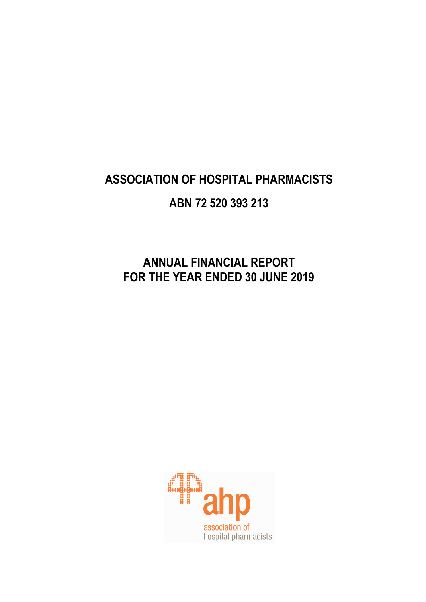# **ANNUAL FINANCIAL REPORT FOR THE YEAR ENDED 30 JUNE 2019**

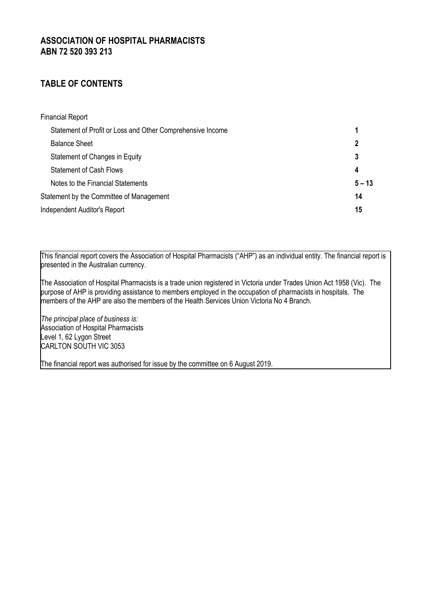# **TABLE OF CONTENTS**

| <b>Financial Report</b>                                    |          |
|------------------------------------------------------------|----------|
| Statement of Profit or Loss and Other Comprehensive Income |          |
| <b>Balance Sheet</b>                                       | 2        |
| Statement of Changes in Equity                             | 3        |
| <b>Statement of Cash Flows</b>                             | 4        |
| Notes to the Financial Statements                          | $5 - 13$ |
| Statement by the Committee of Management                   | 14       |
| Independent Auditor's Report                               | 15       |

This financial report covers the Association of Hospital Pharmacists ("AHP") as an individual entity. The financial report is presented in the Australian currency.

The Association of Hospital Pharmacists is a trade union registered in Victoria under Trades Union Act 1958 (Vic). The purpose of AHP is providing assistance to members employed in the occupation of pharmacists in hospitals. The members of the AHP are also the members of the Health Services Union Victoria No 4 Branch.

*The principal place of business is:* Association of Hospital Pharmacists Level 1, 62 Lygon Street CARLTON SOUTH VIC 3053

The financial report was authorised for issue by the committee on 6 August 2019.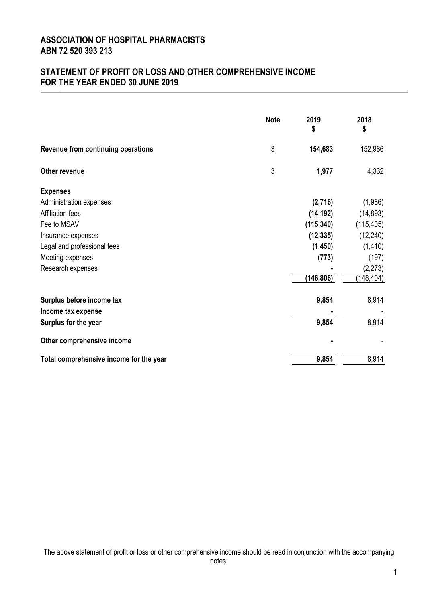# **STATEMENT OF PROFIT OR LOSS AND OTHER COMPREHENSIVE INCOME FOR THE YEAR ENDED 30 JUNE 2019**

|                                         | <b>Note</b> | 2019<br>\$ | 2018<br>\$ |
|-----------------------------------------|-------------|------------|------------|
| Revenue from continuing operations      | 3           | 154,683    | 152,986    |
| <b>Other revenue</b>                    | 3           | 1,977      | 4,332      |
| <b>Expenses</b>                         |             |            |            |
| Administration expenses                 |             | (2,716)    | (1,986)    |
| <b>Affiliation fees</b>                 |             | (14, 192)  | (14, 893)  |
| Fee to MSAV                             |             | (115, 340) | (115, 405) |
| Insurance expenses                      |             | (12, 335)  | (12, 240)  |
| Legal and professional fees             |             | (1, 450)   | (1, 410)   |
| Meeting expenses                        |             | (773)      | (197)      |
| Research expenses                       |             |            | (2, 273)   |
|                                         |             | (146, 806) | (148, 404) |
| Surplus before income tax               |             | 9,854      | 8,914      |
| Income tax expense                      |             |            |            |
| Surplus for the year                    |             | 9,854      | 8,914      |
| Other comprehensive income              |             |            |            |
| Total comprehensive income for the year |             | 9,854      | 8,914      |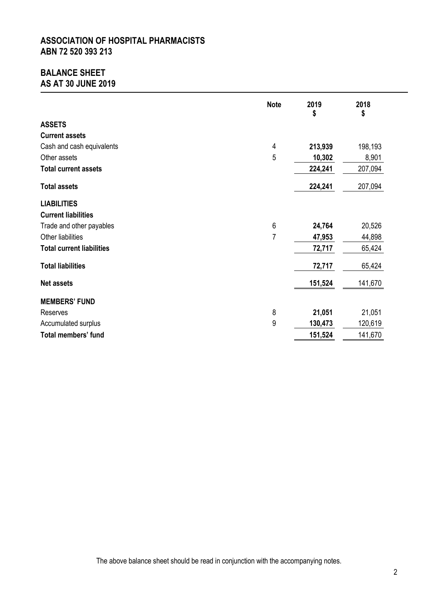# **BALANCE SHEET AS AT 30 JUNE 2019**

|                                  | <b>Note</b>    | 2019<br>\$ | 2018<br>\$ |
|----------------------------------|----------------|------------|------------|
| <b>ASSETS</b>                    |                |            |            |
| <b>Current assets</b>            |                |            |            |
| Cash and cash equivalents        | 4              | 213,939    | 198,193    |
| Other assets                     | 5              | 10,302     | 8,901      |
| <b>Total current assets</b>      |                | 224,241    | 207,094    |
| <b>Total assets</b>              |                | 224,241    | 207,094    |
| <b>LIABILITIES</b>               |                |            |            |
| <b>Current liabilities</b>       |                |            |            |
| Trade and other payables         | 6              | 24,764     | 20,526     |
| Other liabilities                | $\overline{7}$ | 47,953     | 44,898     |
| <b>Total current liabilities</b> |                | 72,717     | 65,424     |
| <b>Total liabilities</b>         |                | 72,717     | 65,424     |
| <b>Net assets</b>                |                | 151,524    | 141,670    |
| <b>MEMBERS' FUND</b>             |                |            |            |
| Reserves                         | 8              | 21,051     | 21,051     |
| Accumulated surplus              | 9              | 130,473    | 120,619    |
| <b>Total members' fund</b>       |                | 151,524    | 141,670    |

The above balance sheet should be read in conjunction with the accompanying notes.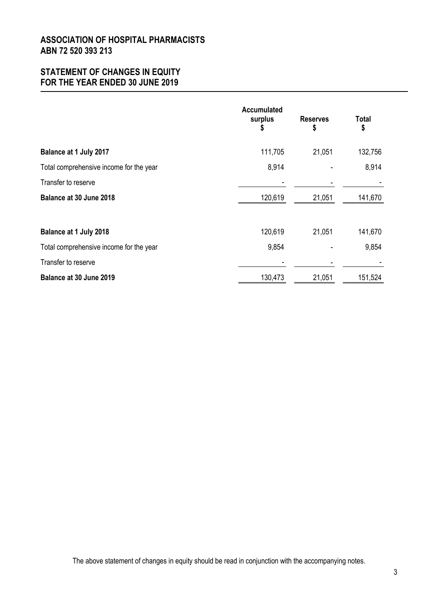# **STATEMENT OF CHANGES IN EQUITY FOR THE YEAR ENDED 30 JUNE 2019**

|                                         | <b>Accumulated</b><br>surplus<br>\$ | <b>Reserves</b><br>\$ | <b>Total</b><br>\$ |
|-----------------------------------------|-------------------------------------|-----------------------|--------------------|
| <b>Balance at 1 July 2017</b>           | 111,705                             | 21,051                | 132,756            |
| Total comprehensive income for the year | 8,914                               |                       | 8,914              |
| Transfer to reserve                     |                                     |                       |                    |
| Balance at 30 June 2018                 | 120,619                             | 21,051                | 141,670            |
| <b>Balance at 1 July 2018</b>           | 120,619                             | 21,051                | 141,670            |
| Total comprehensive income for the year | 9,854                               |                       | 9,854              |
| Transfer to reserve                     |                                     |                       |                    |
| Balance at 30 June 2019                 | 130,473                             | 21,051                | 151,524            |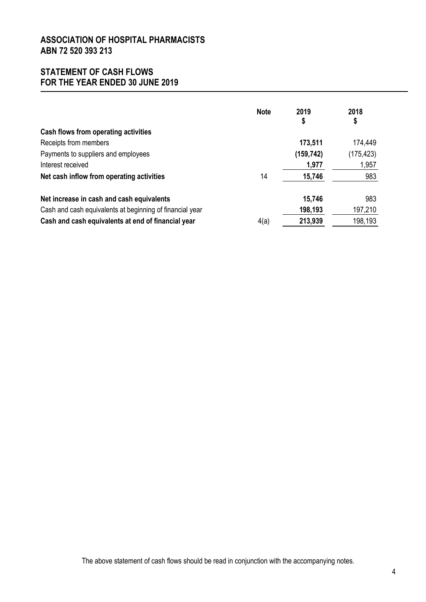# **STATEMENT OF CASH FLOWS FOR THE YEAR ENDED 30 JUNE 2019**

|                                                          | <b>Note</b> | 2019<br>\$ | 2018<br>\$ |
|----------------------------------------------------------|-------------|------------|------------|
| Cash flows from operating activities                     |             |            |            |
| Receipts from members                                    |             | 173,511    | 174,449    |
| Payments to suppliers and employees                      |             | (159, 742) | (175, 423) |
| Interest received                                        |             | 1,977      | 1,957      |
| Net cash inflow from operating activities                | 14          | 15,746     | 983        |
| Net increase in cash and cash equivalents                |             | 15,746     | 983        |
| Cash and cash equivalents at beginning of financial year |             | 198,193    | 197,210    |
| Cash and cash equivalents at end of financial year       | 4(a)        | 213,939    | 198,193    |

The above statement of cash flows should be read in conjunction with the accompanying notes.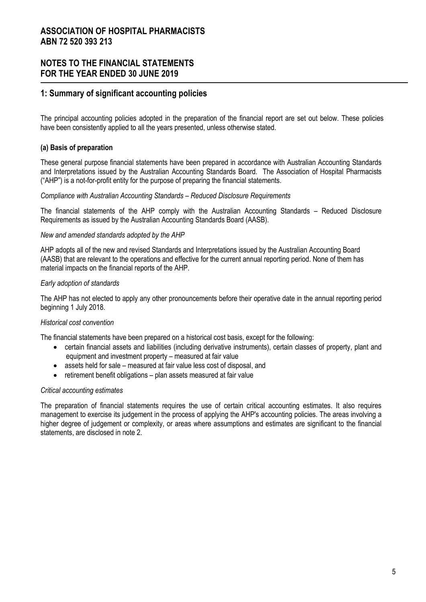### **NOTES TO THE FINANCIAL STATEMENTS FOR THE YEAR ENDED 30 JUNE 2019**

### **1: Summary of significant accounting policies**

The principal accounting policies adopted in the preparation of the financial report are set out below. These policies have been consistently applied to all the years presented, unless otherwise stated.

#### **(a) Basis of preparation**

These general purpose financial statements have been prepared in accordance with Australian Accounting Standards and Interpretations issued by the Australian Accounting Standards Board. The Association of Hospital Pharmacists ("AHP") is a not-for-profit entity for the purpose of preparing the financial statements.

#### *Compliance with Australian Accounting Standards – Reduced Disclosure Requirements*

The financial statements of the AHP comply with the Australian Accounting Standards – Reduced Disclosure Requirements as issued by the Australian Accounting Standards Board (AASB).

#### *New and amended standards adopted by the AHP*

AHP adopts all of the new and revised Standards and Interpretations issued by the Australian Accounting Board (AASB) that are relevant to the operations and effective for the current annual reporting period. None of them has material impacts on the financial reports of the AHP.

#### *Early adoption of standards*

The AHP has not elected to apply any other pronouncements before their operative date in the annual reporting period beginning 1 July 2018.

#### *Historical cost convention*

The financial statements have been prepared on a historical cost basis, except for the following:

- certain financial assets and liabilities (including derivative instruments), certain classes of property, plant and equipment and investment property – measured at fair value
- assets held for sale measured at fair value less cost of disposal, and
- retirement benefit obligations plan assets measured at fair value

#### *Critical accounting estimates*

The preparation of financial statements requires the use of certain critical accounting estimates. It also requires management to exercise its judgement in the process of applying the AHP's accounting policies. The areas involving a higher degree of judgement or complexity, or areas where assumptions and estimates are significant to the financial statements, are disclosed in note 2.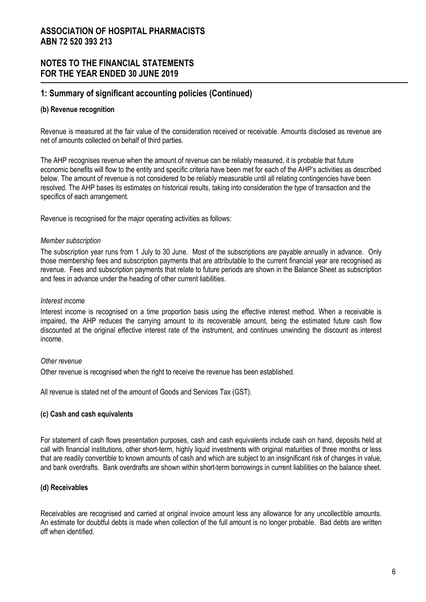### **1: Summary of significant accounting policies (Continued)**

### **(b) Revenue recognition**

Revenue is measured at the fair value of the consideration received or receivable. Amounts disclosed as revenue are net of amounts collected on behalf of third parties.

The AHP recognises revenue when the amount of revenue can be reliably measured, it is probable that future economic benefits will flow to the entity and specific criteria have been met for each of the AHP's activities as described below. The amount of revenue is not considered to be reliably measurable until all relating contingencies have been resolved. The AHP bases its estimates on historical results, taking into consideration the type of transaction and the specifics of each arrangement.

Revenue is recognised for the major operating activities as follows:

#### *Member subscription*

The subscription year runs from 1 July to 30 June. Most of the subscriptions are payable annually in advance. Only those membership fees and subscription payments that are attributable to the current financial year are recognised as revenue. Fees and subscription payments that relate to future periods are shown in the Balance Sheet as subscription and fees in advance under the heading of other current liabilities.

#### *Interest income*

Interest income is recognised on a time proportion basis using the effective interest method. When a receivable is impaired, the AHP reduces the carrying amount to its recoverable amount, being the estimated future cash flow discounted at the original effective interest rate of the instrument, and continues unwinding the discount as interest income.

#### *Other revenue*

Other revenue is recognised when the right to receive the revenue has been established.

All revenue is stated net of the amount of Goods and Services Tax (GST).

#### **(c) Cash and cash equivalents**

For statement of cash flows presentation purposes, cash and cash equivalents include cash on hand, deposits held at call with financial institutions, other short-term, highly liquid investments with original maturities of three months or less that are readily convertible to known amounts of cash and which are subject to an insignificant risk of changes in value, and bank overdrafts. Bank overdrafts are shown within short-term borrowings in current liabilities on the balance sheet.

### **(d) Receivables**

Receivables are recognised and carried at original invoice amount less any allowance for any uncollectible amounts. An estimate for doubtful debts is made when collection of the full amount is no longer probable. Bad debts are written off when identified.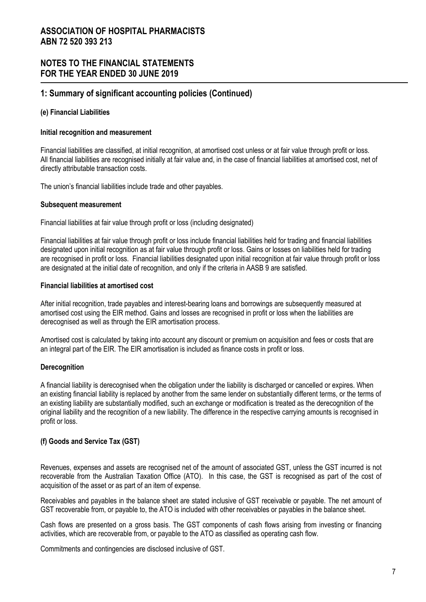### **1: Summary of significant accounting policies (Continued)**

#### **(e) Financial Liabilities**

#### **Initial recognition and measurement**

Financial liabilities are classified, at initial recognition, at amortised cost unless or at fair value through profit or loss. All financial liabilities are recognised initially at fair value and, in the case of financial liabilities at amortised cost, net of directly attributable transaction costs.

The union's financial liabilities include trade and other payables.

#### **Subsequent measurement**

Financial liabilities at fair value through profit or loss (including designated)

Financial liabilities at fair value through profit or loss include financial liabilities held for trading and financial liabilities designated upon initial recognition as at fair value through profit or loss. Gains or losses on liabilities held for trading are recognised in profit or loss. Financial liabilities designated upon initial recognition at fair value through profit or loss are designated at the initial date of recognition, and only if the criteria in AASB 9 are satisfied.

### **Financial liabilities at amortised cost**

After initial recognition, trade payables and interest-bearing loans and borrowings are subsequently measured at amortised cost using the EIR method. Gains and losses are recognised in profit or loss when the liabilities are derecognised as well as through the EIR amortisation process.

Amortised cost is calculated by taking into account any discount or premium on acquisition and fees or costs that are an integral part of the EIR. The EIR amortisation is included as finance costs in profit or loss.

### **Derecognition**

A financial liability is derecognised when the obligation under the liability is discharged or cancelled or expires. When an existing financial liability is replaced by another from the same lender on substantially different terms, or the terms of an existing liability are substantially modified, such an exchange or modification is treated as the derecognition of the original liability and the recognition of a new liability. The difference in the respective carrying amounts is recognised in profit or loss.

### **(f) Goods and Service Tax (GST)**

Revenues, expenses and assets are recognised net of the amount of associated GST, unless the GST incurred is not recoverable from the Australian Taxation Office (ATO). In this case, the GST is recognised as part of the cost of acquisition of the asset or as part of an item of expense.

Receivables and payables in the balance sheet are stated inclusive of GST receivable or payable. The net amount of GST recoverable from, or payable to, the ATO is included with other receivables or payables in the balance sheet.

Cash flows are presented on a gross basis. The GST components of cash flows arising from investing or financing activities, which are recoverable from, or payable to the ATO as classified as operating cash flow.

Commitments and contingencies are disclosed inclusive of GST.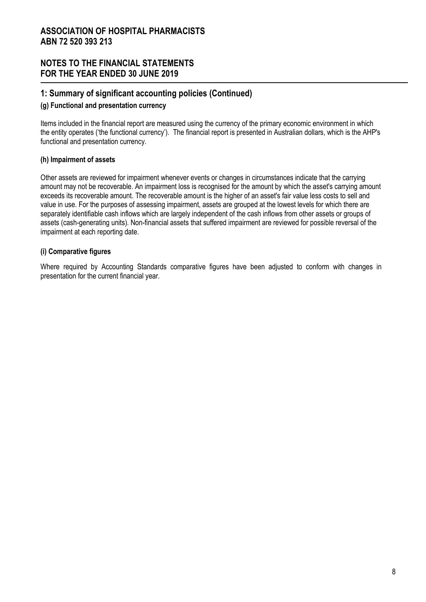### **1: Summary of significant accounting policies (Continued)**

#### **(g) Functional and presentation currency**

Items included in the financial report are measured using the currency of the primary economic environment in which the entity operates ('the functional currency'). The financial report is presented in Australian dollars, which is the AHP's functional and presentation currency.

### **(h) Impairment of assets**

Other assets are reviewed for impairment whenever events or changes in circumstances indicate that the carrying amount may not be recoverable. An impairment loss is recognised for the amount by which the asset's carrying amount exceeds its recoverable amount. The recoverable amount is the higher of an asset's fair value less costs to sell and value in use. For the purposes of assessing impairment, assets are grouped at the lowest levels for which there are separately identifiable cash inflows which are largely independent of the cash inflows from other assets or groups of assets (cash-generating units). Non-financial assets that suffered impairment are reviewed for possible reversal of the impairment at each reporting date.

### **(i) Comparative figures**

Where required by Accounting Standards comparative figures have been adjusted to conform with changes in presentation for the current financial year.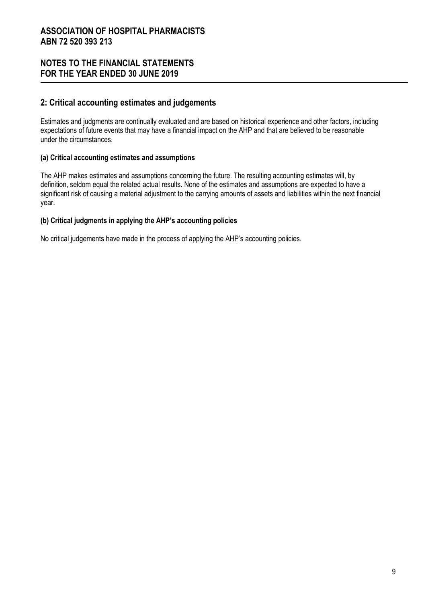# **NOTES TO THE FINANCIAL STATEMENTS FOR THE YEAR ENDED 30 JUNE 2019**

### **2: Critical accounting estimates and judgements**

Estimates and judgments are continually evaluated and are based on historical experience and other factors, including expectations of future events that may have a financial impact on the AHP and that are believed to be reasonable under the circumstances.

### **(a) Critical accounting estimates and assumptions**

The AHP makes estimates and assumptions concerning the future. The resulting accounting estimates will, by definition, seldom equal the related actual results. None of the estimates and assumptions are expected to have a significant risk of causing a material adjustment to the carrying amounts of assets and liabilities within the next financial year.

### **(b) Critical judgments in applying the AHP's accounting policies**

No critical judgements have made in the process of applying the AHP's accounting policies.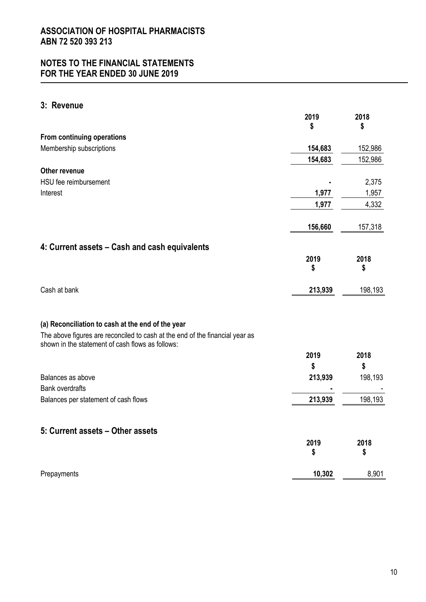# **3: Revenue**

|                                                                                                                                  | 2019<br>\$ | 2018<br>\$ |
|----------------------------------------------------------------------------------------------------------------------------------|------------|------------|
| From continuing operations                                                                                                       |            |            |
| Membership subscriptions                                                                                                         | 154,683    | 152,986    |
|                                                                                                                                  | 154,683    | 152,986    |
| <b>Other revenue</b>                                                                                                             |            |            |
| HSU fee reimbursement                                                                                                            |            | 2,375      |
| Interest                                                                                                                         | 1,977      | 1,957      |
|                                                                                                                                  | 1,977      | 4,332      |
|                                                                                                                                  | 156,660    | 157,318    |
| 4: Current assets - Cash and cash equivalents                                                                                    |            |            |
|                                                                                                                                  | 2019       | 2018       |
|                                                                                                                                  | \$         | \$         |
| Cash at bank                                                                                                                     | 213,939    | 198,193    |
| (a) Reconciliation to cash at the end of the year                                                                                |            |            |
| The above figures are reconciled to cash at the end of the financial year as<br>shown in the statement of cash flows as follows: |            |            |
|                                                                                                                                  | 2019       | 2018       |
|                                                                                                                                  | \$         | \$         |
| Balances as above                                                                                                                | 213,939    | 198,193    |
| <b>Bank overdrafts</b>                                                                                                           |            |            |
| Balances per statement of cash flows                                                                                             | 213,939    | 198,193    |
| 5: Current assets - Other assets                                                                                                 |            |            |
|                                                                                                                                  | 2019<br>\$ | 2018<br>\$ |
| Prepayments                                                                                                                      | 10,302     | 8,901      |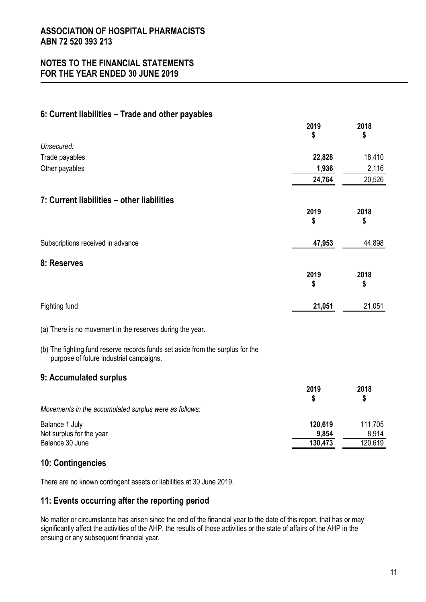# **NOTES TO THE FINANCIAL STATEMENTS FOR THE YEAR ENDED 30 JUNE 2019**

# **6: Current liabilities – Trade and other payables**

|                                                                                                                           | 2019<br>S  | 2018<br>\$ |
|---------------------------------------------------------------------------------------------------------------------------|------------|------------|
| Unsecured:                                                                                                                |            |            |
| Trade payables                                                                                                            | 22,828     | 18,410     |
| Other payables                                                                                                            | 1,936      | 2,116      |
|                                                                                                                           | 24,764     | 20,526     |
| 7: Current liabilities - other liabilities                                                                                |            |            |
|                                                                                                                           | 2019       | 2018       |
|                                                                                                                           | \$         | \$         |
| Subscriptions received in advance                                                                                         | 47,953     | 44,898     |
| 8: Reserves                                                                                                               |            |            |
|                                                                                                                           | 2019<br>\$ | 2018<br>\$ |
| Fighting fund                                                                                                             | 21,051     | 21,051     |
| (a) There is no movement in the reserves during the year.                                                                 |            |            |
| (b) The fighting fund reserve records funds set aside from the surplus for the<br>purpose of future industrial campaigns. |            |            |
| 9: Accumulated surplus                                                                                                    |            |            |
|                                                                                                                           | 2019<br>\$ | 2018<br>\$ |
| Movements in the accumulated surplus were as follows:                                                                     |            |            |
| Balance 1 July                                                                                                            | 120,619    | 111,705    |
| Net surplus for the year                                                                                                  | 9,854      | 8,914      |
| Balance 30 June                                                                                                           | 130,473    | 120,619    |

# **10: Contingencies**

There are no known contingent assets or liabilities at 30 June 2019.

# **11: Events occurring after the reporting period**

No matter or circumstance has arisen since the end of the financial year to the date of this report, that has or may significantly affect the activities of the AHP, the results of those activities or the state of affairs of the AHP in the ensuing or any subsequent financial year.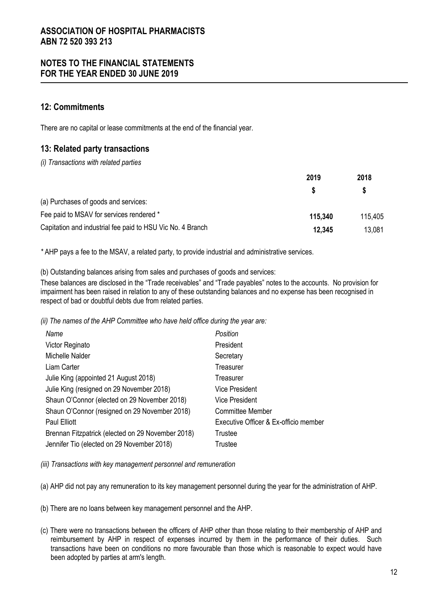### **12: Commitments**

There are no capital or lease commitments at the end of the financial year.

# **13: Related party transactions**

*(i) Transactions with related parties* 

|                                                            | 2019    | 2018<br>S |
|------------------------------------------------------------|---------|-----------|
|                                                            |         |           |
| (a) Purchases of goods and services:                       |         |           |
| Fee paid to MSAV for services rendered *                   | 115.340 | 115,405   |
| Capitation and industrial fee paid to HSU Vic No. 4 Branch | 12.345  | 13,081    |

*\** AHP pays a fee to the MSAV, a related party, to provide industrial and administrative services.

(b) Outstanding balances arising from sales and purchases of goods and services:

These balances are disclosed in the "Trade receivables" and "Trade payables" notes to the accounts. No provision for impairment has been raised in relation to any of these outstanding balances and no expense has been recognised in respect of bad or doubtful debts due from related parties.

*(ii) The names of the AHP Committee who have held office during the year are:* 

| Name                                              | Position                              |
|---------------------------------------------------|---------------------------------------|
| Victor Reginato                                   | President                             |
| Michelle Nalder                                   | Secretary                             |
| Liam Carter                                       | Treasurer                             |
| Julie King (appointed 21 August 2018)             | Treasurer                             |
| Julie King (resigned on 29 November 2018)         | <b>Vice President</b>                 |
| Shaun O'Connor (elected on 29 November 2018)      | <b>Vice President</b>                 |
| Shaun O'Connor (resigned on 29 November 2018)     | <b>Committee Member</b>               |
| Paul Elliott                                      | Executive Officer & Ex-officio member |
| Brennan Fitzpatrick (elected on 29 November 2018) | Trustee                               |
| Jennifer Tio (elected on 29 November 2018)        | Trustee                               |

*(iii) Transactions with key management personnel and remuneration* 

(a) AHP did not pay any remuneration to its key management personnel during the year for the administration of AHP.

(b) There are no loans between key management personnel and the AHP.

(c) There were no transactions between the officers of AHP other than those relating to their membership of AHP and reimbursement by AHP in respect of expenses incurred by them in the performance of their duties. Such transactions have been on conditions no more favourable than those which is reasonable to expect would have been adopted by parties at arm's length.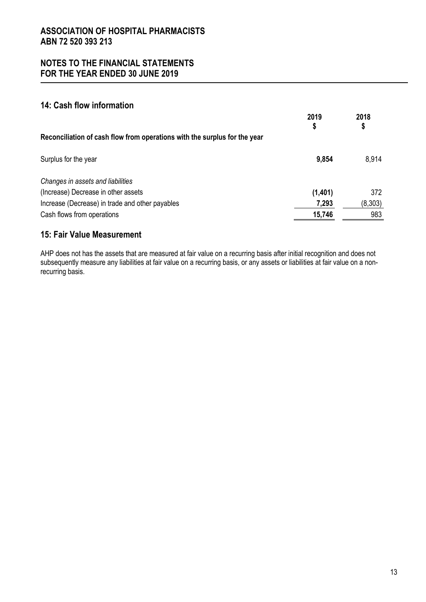# **14: Cash flow information**

|                                                                           | 2019<br>\$ | 2018<br>\$ |
|---------------------------------------------------------------------------|------------|------------|
| Reconciliation of cash flow from operations with the surplus for the year |            |            |
| Surplus for the year                                                      | 9,854      | 8,914      |
| Changes in assets and liabilities                                         |            |            |
| (Increase) Decrease in other assets                                       | (1,401)    | 372        |
| Increase (Decrease) in trade and other payables                           | 7,293      | (8, 303)   |
| Cash flows from operations                                                | 15,746     | 983        |

# **15: Fair Value Measurement**

AHP does not has the assets that are measured at fair value on a recurring basis after initial recognition and does not subsequently measure any liabilities at fair value on a recurring basis, or any assets or liabilities at fair value on a nonrecurring basis.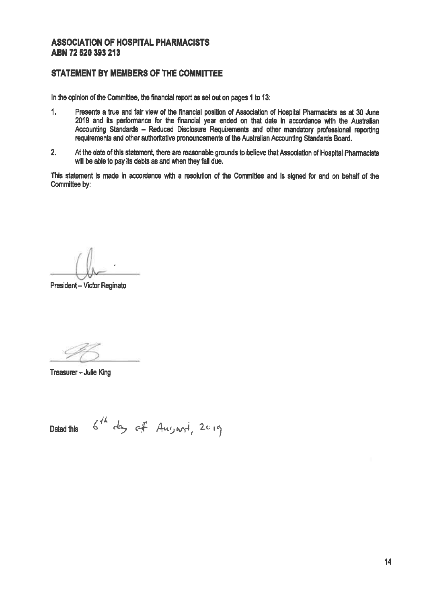### **STATEMENT BY MEMBERS OF THE COMMITTEE**

In the opinion of the Committee, the financial report as set out on pages 1 to 13:

- $1.$ Presents a true and fair view of the financial position of Association of Hospital Pharmacists as at 30 June 2019 and its performance for the financial year ended on that date in accordance with the Australian Accounting Standards - Reduced Disclosure Requirements and other mandatory professional reporting regulrements and other authoritative pronouncements of the Australian Accounting Standards Board.
- $2.$ At the date of this statement, there are reasonable grounds to believe that Association of Hospital Pharmacists will be able to pay its debts as and when they fall due.

This statement is made in accordance with a resolution of the Committee and is signed for and on behalf of the Committee by:

President - Victor Reginato

Treasurer - Julie King

 $6^{th}$  day of August, 2019 Dated this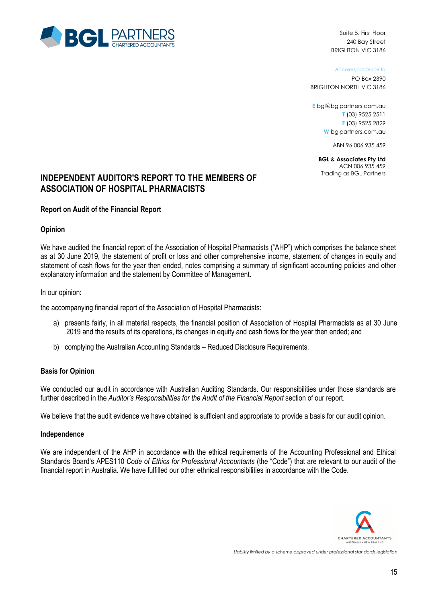

Suite 5, First Floor 240 Bay Street BRIGHTON VIC 3186

*All correspondence to*

PO Box 2390 BRIGHTON NORTH VIC 3186

**E** bgl@bglpartners.com.au **T** (03) 9525 2511 **F** (03) 9525 2829 **W** bglpartners.com.au

ABN 96 006 935 459

**BGL & Associates Pty Ltd**  ACN 006 935 459

# **INDEPENDENT AUDITOR'S REPORT TO THE MEMBERS OF Trading as BGL Partners ASSOCIATION OF HOSPITAL PHARMACISTS**

#### **Report on Audit of the Financial Report**

#### **Opinion**

We have audited the financial report of the Association of Hospital Pharmacists ("AHP") which comprises the balance sheet as at 30 June 2019, the statement of profit or loss and other comprehensive income, statement of changes in equity and statement of cash flows for the year then ended, notes comprising a summary of significant accounting policies and other explanatory information and the statement by Committee of Management.

In our opinion:

the accompanying financial report of the Association of Hospital Pharmacists:

- a) presents fairly, in all material respects, the financial position of Association of Hospital Pharmacists as at 30 June 2019 and the results of its operations, its changes in equity and cash flows for the year then ended; and
- b) complying the Australian Accounting Standards Reduced Disclosure Requirements.

#### **Basis for Opinion**

We conducted our audit in accordance with Australian Auditing Standards. Our responsibilities under those standards are further described in the *Auditor's Responsibilities for the Audit of the Financial Report* section of our report.

We believe that the audit evidence we have obtained is sufficient and appropriate to provide a basis for our audit opinion.

#### **Independence**

We are independent of the AHP in accordance with the ethical requirements of the Accounting Professional and Ethical Standards Board's APES110 *Code of Ethics for Professional Accountants* (the "Code") that are relevant to our audit of the financial report in Australia. We have fulfilled our other ethnical responsibilities in accordance with the Code.

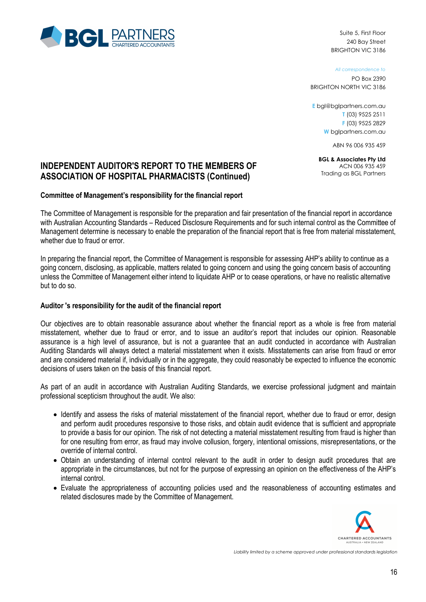

Suite 5, First Floor 240 Bay Street BRIGHTON VIC 3186

*All correspondence to*

PO Box 2390 BRIGHTON NORTH VIC 3186

**E** bgl@bglpartners.com.au **T** (03) 9525 2511 **F** (03) 9525 2829 **W** bglpartners.com.au

ABN 96 006 935 459

**BGL & Associates Pty Ltd**  ACN 006 935 459 Trading as BGL Partners

# **INDEPENDENT AUDITOR'S REPORT TO THE MEMBERS OF ASSOCIATION OF HOSPITAL PHARMACISTS (Continued)**

#### **Committee of Management's responsibility for the financial report**

The Committee of Management is responsible for the preparation and fair presentation of the financial report in accordance with Australian Accounting Standards – Reduced Disclosure Requirements and for such internal control as the Committee of Management determine is necessary to enable the preparation of the financial report that is free from material misstatement, whether due to fraud or error.

In preparing the financial report, the Committee of Management is responsible for assessing AHP's ability to continue as a going concern, disclosing, as applicable, matters related to going concern and using the going concern basis of accounting unless the Committee of Management either intend to liquidate AHP or to cease operations, or have no realistic alternative but to do so.

### **Auditor 's responsibility for the audit of the financial report**

Our objectives are to obtain reasonable assurance about whether the financial report as a whole is free from material misstatement, whether due to fraud or error, and to issue an auditor's report that includes our opinion. Reasonable assurance is a high level of assurance, but is not a guarantee that an audit conducted in accordance with Australian Auditing Standards will always detect a material misstatement when it exists. Misstatements can arise from fraud or error and are considered material if, individually or in the aggregate, they could reasonably be expected to influence the economic decisions of users taken on the basis of this financial report.

As part of an audit in accordance with Australian Auditing Standards, we exercise professional judgment and maintain professional scepticism throughout the audit. We also:

- Identify and assess the risks of material misstatement of the financial report, whether due to fraud or error, design and perform audit procedures responsive to those risks, and obtain audit evidence that is sufficient and appropriate to provide a basis for our opinion. The risk of not detecting a material misstatement resulting from fraud is higher than for one resulting from error, as fraud may involve collusion, forgery, intentional omissions, misrepresentations, or the override of internal control.
- Obtain an understanding of internal control relevant to the audit in order to design audit procedures that are appropriate in the circumstances, but not for the purpose of expressing an opinion on the effectiveness of the AHP's internal control.
- Evaluate the appropriateness of accounting policies used and the reasonableness of accounting estimates and related disclosures made by the Committee of Management.